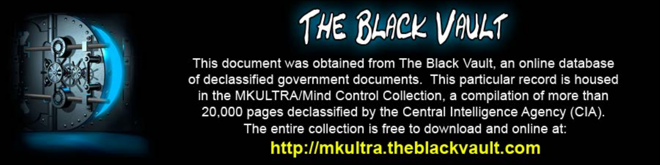

This document was obtained from The Black Vault, an online database of declassified government documents. This particular record is housed in the MKULTRA/Mind Control Collection, a compilation of more than 20,000 pages declassified by the Central Intelligence Agency (CIA). The entire collection is free to download and online at: http://mkultra.theblackvault.com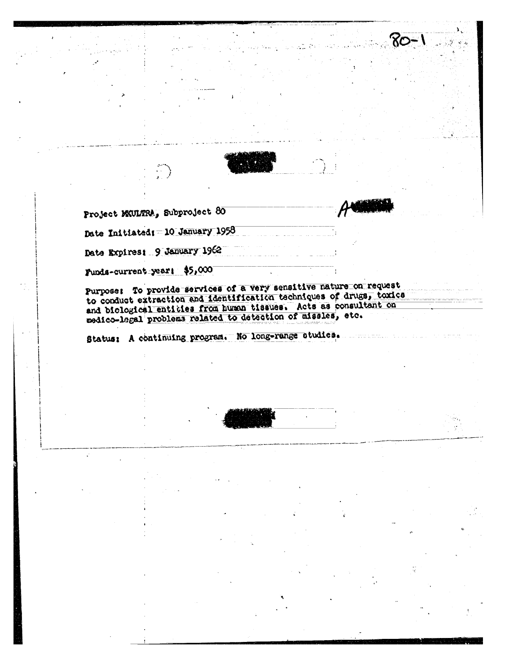Project MXULTRA, Subproject 80

Date Initiated; 10 January 1958

Date Expires; 9 January 1962

Funds-current-year: \$5,000

Purpose: To provide services of a very sensitive nature on request to conduct extraction and identification techniques of drugs, toxics and biological enticles from human tissues. Acts as consultant on medico-legal problems related to detection of missles, etc.

Status: A continuing program. No long-range studies.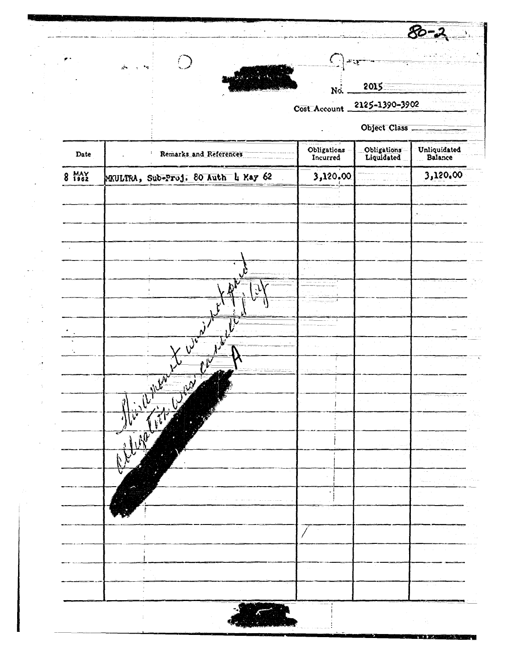|                  | $\bigcirc$<br>$\mathcal{H}^{\bullet}=\mathcal{H}^{\bullet}$<br>$\ddot{\phantom{a}}$                                                                                                                                                                                                                                                                                                          | $\zeta$                        |                           |                         |  |  |
|------------------|----------------------------------------------------------------------------------------------------------------------------------------------------------------------------------------------------------------------------------------------------------------------------------------------------------------------------------------------------------------------------------------------|--------------------------------|---------------------------|-------------------------|--|--|
|                  |                                                                                                                                                                                                                                                                                                                                                                                              |                                | 2015                      |                         |  |  |
|                  |                                                                                                                                                                                                                                                                                                                                                                                              | No.                            |                           |                         |  |  |
|                  |                                                                                                                                                                                                                                                                                                                                                                                              | 2125-1390-3902<br>Cost_Account |                           |                         |  |  |
|                  |                                                                                                                                                                                                                                                                                                                                                                                              | Object Class                   |                           |                         |  |  |
| Date             | Remarks and References                                                                                                                                                                                                                                                                                                                                                                       | Obligations<br>Incurred        | Obligations<br>Liquidated | Unliquidated<br>Balance |  |  |
| MAY<br>1962<br>8 | MKULTRA, Sub-Proj. 80 Auth 4 May 62                                                                                                                                                                                                                                                                                                                                                          | 3,120.00                       |                           | 3,120,00                |  |  |
|                  |                                                                                                                                                                                                                                                                                                                                                                                              |                                |                           |                         |  |  |
|                  |                                                                                                                                                                                                                                                                                                                                                                                              |                                |                           |                         |  |  |
|                  |                                                                                                                                                                                                                                                                                                                                                                                              |                                |                           |                         |  |  |
|                  |                                                                                                                                                                                                                                                                                                                                                                                              |                                |                           |                         |  |  |
|                  |                                                                                                                                                                                                                                                                                                                                                                                              |                                |                           |                         |  |  |
|                  | $\mathcal{L}$                                                                                                                                                                                                                                                                                                                                                                                |                                |                           |                         |  |  |
|                  |                                                                                                                                                                                                                                                                                                                                                                                              |                                |                           |                         |  |  |
|                  |                                                                                                                                                                                                                                                                                                                                                                                              |                                |                           |                         |  |  |
|                  | ¥                                                                                                                                                                                                                                                                                                                                                                                            |                                | e a                       |                         |  |  |
|                  | $\overline{v}$                                                                                                                                                                                                                                                                                                                                                                               |                                |                           |                         |  |  |
|                  | $\bar{v}$                                                                                                                                                                                                                                                                                                                                                                                    |                                |                           |                         |  |  |
|                  | $\frac{1}{2} \frac{1}{2} \frac{1}{2} \frac{1}{2} \frac{1}{2} \frac{1}{2} \frac{1}{2} \frac{1}{2} \frac{1}{2} \frac{1}{2} \frac{1}{2} \frac{1}{2} \frac{1}{2} \frac{1}{2} \frac{1}{2} \frac{1}{2} \frac{1}{2} \frac{1}{2} \frac{1}{2} \frac{1}{2} \frac{1}{2} \frac{1}{2} \frac{1}{2} \frac{1}{2} \frac{1}{2} \frac{1}{2} \frac{1}{2} \frac{1}{2} \frac{1}{2} \frac{1}{2} \frac{1}{2} \frac{$ |                                |                           |                         |  |  |
|                  | $\overline{\mathcal{W}}$<br>$\partial$<br>$\mathbf{A}$                                                                                                                                                                                                                                                                                                                                       |                                |                           | Mito Ca                 |  |  |
|                  | $\frac{1}{\sqrt{2}}$                                                                                                                                                                                                                                                                                                                                                                         |                                |                           |                         |  |  |
|                  |                                                                                                                                                                                                                                                                                                                                                                                              |                                | $\sim$ 100 $\pm$          |                         |  |  |
|                  |                                                                                                                                                                                                                                                                                                                                                                                              |                                |                           |                         |  |  |
|                  |                                                                                                                                                                                                                                                                                                                                                                                              |                                |                           |                         |  |  |
|                  |                                                                                                                                                                                                                                                                                                                                                                                              |                                |                           |                         |  |  |
|                  |                                                                                                                                                                                                                                                                                                                                                                                              |                                |                           |                         |  |  |
|                  |                                                                                                                                                                                                                                                                                                                                                                                              |                                |                           |                         |  |  |
|                  |                                                                                                                                                                                                                                                                                                                                                                                              |                                |                           |                         |  |  |
|                  |                                                                                                                                                                                                                                                                                                                                                                                              |                                |                           |                         |  |  |
|                  |                                                                                                                                                                                                                                                                                                                                                                                              |                                |                           |                         |  |  |
|                  |                                                                                                                                                                                                                                                                                                                                                                                              |                                |                           |                         |  |  |

in ka kabibbaan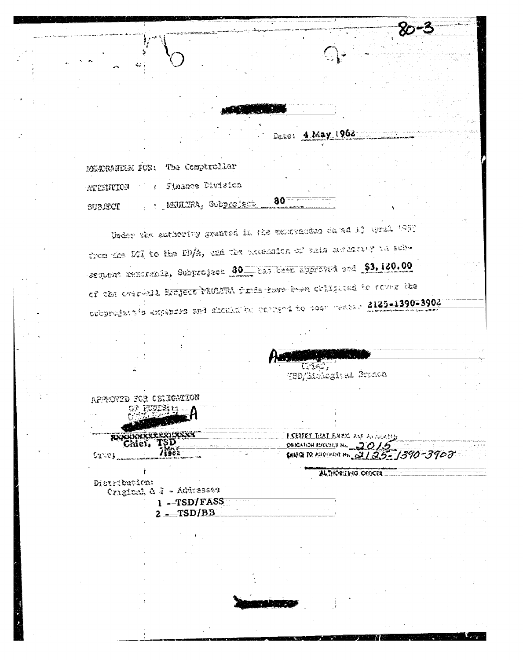MEATRANDEN FOR: The Comptroller ATTINTION : Tinance Division  $80$ , : MAULTRA, Sub<u>project</u> SUBJECT

Under the sutherity granted in the memorgadum dated 1) april 1953 from the DTI to the DD/A, and the accession of this actionary in subsequent rendraniz, Subproject 80 has been approved and \$3,120.00 of the dyer-cll Resject WAULTRA finds there then chilpened to rower the orbprodes tis expenses and should be correct to took crates 2125-1390-3902

Date: 4 May 1962

TSD/Bickegisal Aranch APPROVED FOR CELIGATION <u>I CERRY RIAT E</u>NRIG AND AN ARABI<u>A</u>I RXXX Chiei. rs t  $Q$  CALCULAR REFERENCE THAN  $20/5$ **CHOG TO MICHAELE IN 2125-1390-3908** ates : ALTERRING OFFICER Distribution: Criginal & 2 - Addresses 1-TSD/FASS  $2 - TSD/BB$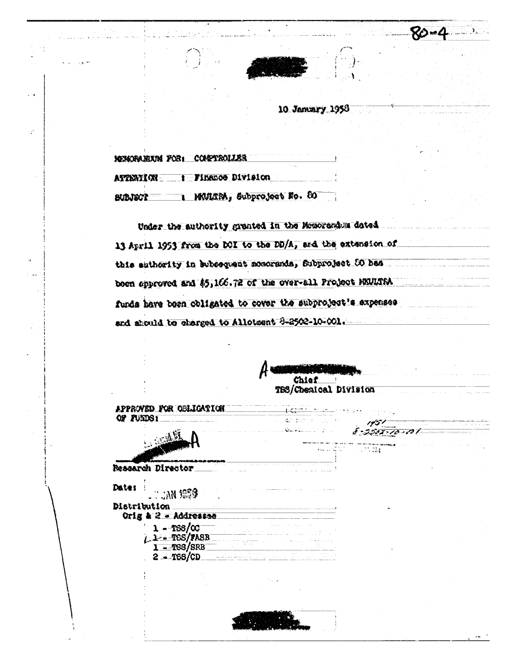

10 January 1958

| Nenormeun Fori Conptroller | provided a state of the company of  |
|----------------------------|-------------------------------------|
|                            |                                     |
|                            | ATTENTION 1 Finance Division        |
|                            |                                     |
|                            | SUBJECT 1 MWLTPA, Subproject No. 80 |

ż

Under the authority granted in the Memorandum dated 13 April 1953 from the ICI to the DD/A, and the extension of this suthority in subcequent monorands, Subproject 00 has been sparoved and \$5,166.72 of the over-all Project HEULTRA funds have been coligated to cover the subproject's expenses and should to charged to Allotsent 8-2502-10-001.

| OF FUEDS!                                                                                                                                                                                                   | ana in<br>. Sita relation                                        | $8 - 2502 - 10 - 101$ |  |
|-------------------------------------------------------------------------------------------------------------------------------------------------------------------------------------------------------------|------------------------------------------------------------------|-----------------------|--|
|                                                                                                                                                                                                             |                                                                  |                       |  |
|                                                                                                                                                                                                             |                                                                  |                       |  |
|                                                                                                                                                                                                             |                                                                  |                       |  |
|                                                                                                                                                                                                             |                                                                  | - 120.022             |  |
|                                                                                                                                                                                                             |                                                                  |                       |  |
| Research Director                                                                                                                                                                                           |                                                                  |                       |  |
|                                                                                                                                                                                                             |                                                                  |                       |  |
| Date:                                                                                                                                                                                                       |                                                                  |                       |  |
|                                                                                                                                                                                                             |                                                                  |                       |  |
| Distribution                                                                                                                                                                                                | the control of the control of the control of                     |                       |  |
| Orig & 2 = Addressee                                                                                                                                                                                        |                                                                  |                       |  |
| $1 - TSS/\alpha$                                                                                                                                                                                            |                                                                  |                       |  |
|                                                                                                                                                                                                             |                                                                  |                       |  |
| $\begin{array}{r} \begin{array}{c} \begin{array}{c} \text{L} \text{--} \text{TSS}/\text{FASB} \end{array} \\ \begin{array}{c} \text{I} \text{--} \text{TSS}/\text{SRB} \end{array} \end{array} \end{array}$ |                                                                  |                       |  |
| $2 - TSS/CD$                                                                                                                                                                                                |                                                                  |                       |  |
| <u>an artista negrativa da c</u>                                                                                                                                                                            | $\mathcal{O}(\mathcal{O}(N) \times \mathcal{O}(N))$ . The set of |                       |  |
|                                                                                                                                                                                                             |                                                                  |                       |  |
|                                                                                                                                                                                                             |                                                                  |                       |  |
|                                                                                                                                                                                                             |                                                                  |                       |  |
|                                                                                                                                                                                                             |                                                                  |                       |  |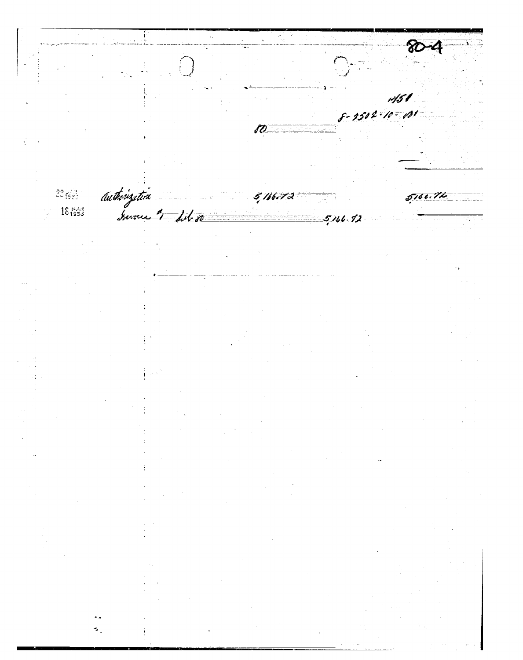8C e-1512-10-<sub>1</sub>01 8D 23 rue duthorization  $5/16.72$  $5166.72$  $5, 16, 12$ ٠.